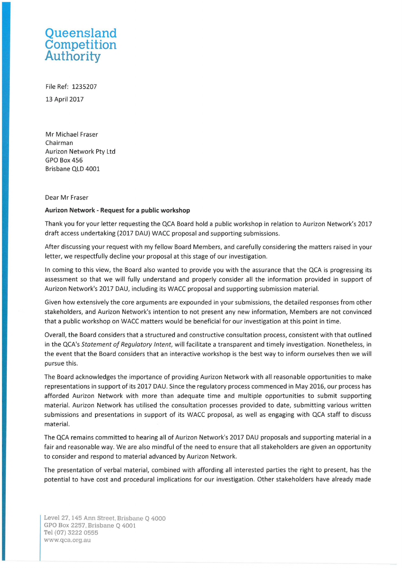## **Queensland Competition Authority**

File Ref: 1235207 13 April 2017

Mr Michael Fraser Chairman Aurizon Network Pty Ltd GPO Box 456 Brisbane QLD 4001

## Dear Mr Fraser

## **Aurizon Network - Request for a public workshop**

Thank you for your letter requesting the QCA Board hold a public workshop in relation to Aurizon Network's 2017 draft access undertaking (2017 DAU) WACC proposal and supporting submissions.

After discussing your request with my fellow Board Members, and carefully considering the matters raised in your letter, we respectfully decline your proposal at this stage of our investigation.

In coming to this view, the Board also wanted to provide you with the assurance that the QCA is progressing its assessment so that we will fully understand and properly consider all the information provided in support of Aurizon Network's 2017 DAU, including its WACC proposal and supporting submission material.

Given how extensively the core arguments are expounded in your submissions, the detailed responses from other stakeholders, and Aurizon Network's intention to not present any new information, Members are not convinced that a public workshop on WACC matters would be beneficial for our investigation at this point in time.

Overall, the Board considers that a structured and constructive consultation process, consistent with that outlined in the QCA's *Statement of Regulatory Intent,* will facilitate a transparent and timely investigation. Nonetheless, in the event that the Board considers that an interactive workshop is the best way to inform ourselves then we will pursue this.

The Board acknowledges the importance of providing Aurizon Network with all reasonable opportunities to make representations in support of its 2017 DAU. Since the regulatory process commenced in May 2016, our process has afforded Aurizon Network with more than adequate time and multiple opportunities to submit supporting material. Aurizon Network has utilised the consultation processes provided to date, submitting various written submissions and presentations in support of its WACC proposal, as well as engaging with QCA staff to discuss material.

The QCA remains committed to hearing all of Aurizon Network's 2017 DAU proposals and supporting material in a fair and reasonable way. We are also mindful of the need to ensure that all stakeholders are given an opportunity to consider and respond to material advanced by Aurizon Network.

The presentation of verbal material, combined with affording all interested parties the right to present, has the potential to have cost and procedural implications for our investigation. Other stakeholders have already made

Level27, 145 Ann Street, Brisbane Q 4000 GPO Box 2257, Brisbane Q 4001 Tel (07) 3222 0555 www.qca.org.au